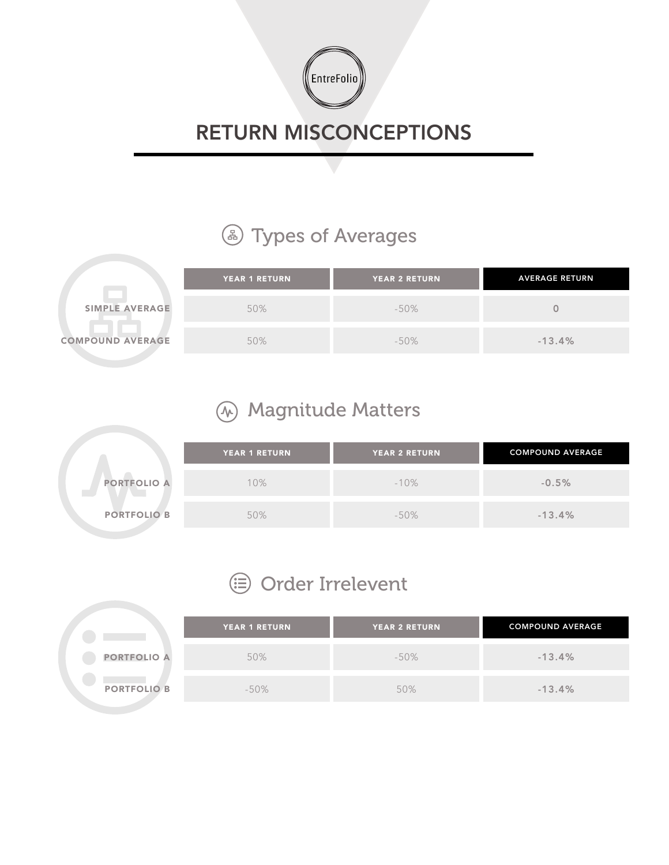

## RETURN MISCONCEPTIONS

## **4** Types of Averages

|                         | <b>YEAR 1 RETURN</b> | <b>YEAR 2 RETURN</b> | <b>AVERAGE RETURN</b> |
|-------------------------|----------------------|----------------------|-----------------------|
| SIMPLE AVERAGE          | 50%                  | $-50\%$              |                       |
| <b>COMPOUND AVERAGE</b> | 50%                  | -50%                 | $-13.4%$              |

## Magnitude Matters

|                    | <b>YEAR 1 RETURN</b> | <b>YEAR 2 RETURN</b> | <b>COMPOUND AVERAGE</b> |
|--------------------|----------------------|----------------------|-------------------------|
| <b>PORTFOLIO A</b> | 10%                  | $-10%$               | $-0.5%$                 |
| <b>PORTFOLIO B</b> | 50%                  | $-50\%$              | $-13.4%$                |

## **<sup>⊜</sup>** Order Irrelevent

|                    | YEAR 1 RETURN | <b>YEAR 2 RETURN</b> | <b>COMPOUND AVERAGE</b> |
|--------------------|---------------|----------------------|-------------------------|
| <b>PORTFOLIO A</b> | 50%           | $-50\%$              | $-13.4%$                |
| <b>PORTFOLIO B</b> | $-50\%$       | 50%                  | $-13.4%$                |